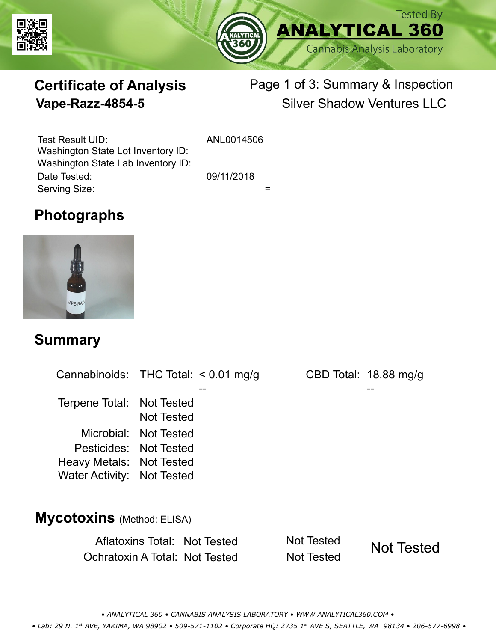



# **Certificate of Analysis**

# Page 1 of 3: Summary & Inspection **Vape-Razz-4854-5** Silver Shadow Ventures LLC

Serving Size:  $=$ Test Result UID: ANL0014506 Date Tested: 09/11/2018 Washington State Lot Inventory ID: Washington State Lab Inventory ID:

# **Photographs**



### **Summary**

Cannabinoids: THC Total:  $< 0.01$  mg/g Terpene Total: Not Tested Microbial: Not Tested CBD Total: 18.88 mg/g Pesticides: Not Tested Heavy Metals: Not Tested -- -- Not Tested Water Activity: Not Tested **Mycotoxins** (Method: ELISA)

> Aflatoxins Total: Not Tested Not Tested Ochratoxin A Total: Not Tested Not Tested Not Tested

*• ANALYTICAL 360 • CANNABIS ANALYSIS LABORATORY • WWW.ANALYTICAL360.COM • • Lab: 29 N. 1st AVE, YAKIMA, WA 98902 • 509-571-1102 • Corporate HQ: 2735 1st AVE S, SEATTLE, WA 98134 • 206-577-6998 •*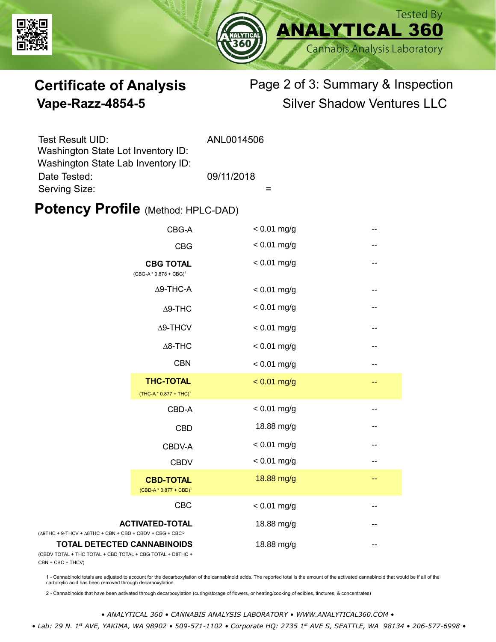



# **Certificate of Analysis** Page 2 of 3: Summary & Inspection **Vape-Razz-4854-5** Silver Shadow Ventures LLC

| Test Result UID:                   | ANL0014506 |
|------------------------------------|------------|
| Washington State Lot Inventory ID: |            |
| Washington State Lab Inventory ID: |            |
| Date Tested:                       | 09/11/2018 |
| Serving Size:                      |            |

### **Potency Profile (Method: HPLC-DAD)**

|                                                                                                 | CBG-A                                                  | $< 0.01$ mg/g |     |
|-------------------------------------------------------------------------------------------------|--------------------------------------------------------|---------------|-----|
|                                                                                                 | <b>CBG</b>                                             | $< 0.01$ mg/g | --  |
|                                                                                                 | <b>CBG TOTAL</b><br>$(CBG-A * 0.878 + CBG)^1$          | $< 0.01$ mg/g | $-$ |
|                                                                                                 | $\Delta$ 9-THC-A                                       | $< 0.01$ mg/g |     |
|                                                                                                 | $\Delta$ 9-THC                                         | $< 0.01$ mg/g | --  |
|                                                                                                 | $\Delta$ 9-THCV                                        | $< 0.01$ mg/g | --  |
|                                                                                                 | $\Delta$ 8-THC                                         | $< 0.01$ mg/g |     |
|                                                                                                 | <b>CBN</b>                                             | $< 0.01$ mg/g |     |
|                                                                                                 | <b>THC-TOTAL</b><br>(THC-A * 0.877 + THC) <sup>1</sup> | $< 0.01$ mg/g |     |
|                                                                                                 | CBD-A                                                  | $< 0.01$ mg/g | --  |
|                                                                                                 | <b>CBD</b>                                             | 18.88 mg/g    | --  |
|                                                                                                 | CBDV-A                                                 | $< 0.01$ mg/g | --  |
|                                                                                                 | <b>CBDV</b>                                            | $< 0.01$ mg/g | --  |
|                                                                                                 | <b>CBD-TOTAL</b><br>$(CBD-A * 0.877 + CBD)^1$          | 18.88 mg/g    | --  |
|                                                                                                 | CBC                                                    | $< 0.01$ mg/g |     |
| $(\Delta 9THC + 9-THCV + \Delta 8THC + CBN + CBD + CBDV + CBC + CBC)^2$                         | <b>ACTIVATED-TOTAL</b>                                 | 18.88 mg/g    |     |
| <b>TOTAL DETECTED CANNABINOIDS</b><br>(CBDV TOTAL + THC TOTAL + CBD TOTAL + CBG TOTAL + D8THC + |                                                        | 18.88 mg/g    |     |

(CBDV TOTAL + THC TOTAL CBN + CBC + THCV)

1 - Cannabinoid totals are adjusted to account for the decarboxylation of the cannabinoid acids. The reported total is the amount of the activated cannabinoid that would be if all of the<br>carboxylic acid has been removed th

2 - Cannabinoids that have been activated through decarboxylation (curing/storage of flowers, or heating/cooking of edibles, tinctures, & concentrates)

*• ANALYTICAL 360 • CANNABIS ANALYSIS LABORATORY • WWW.ANALYTICAL360.COM •*

 *• Lab: 29 N. 1st AVE, YAKIMA, WA 98902 • 509-571-1102 • Corporate HQ: 2735 1st AVE S, SEATTLE, WA 98134 • 206-577-6998 •*